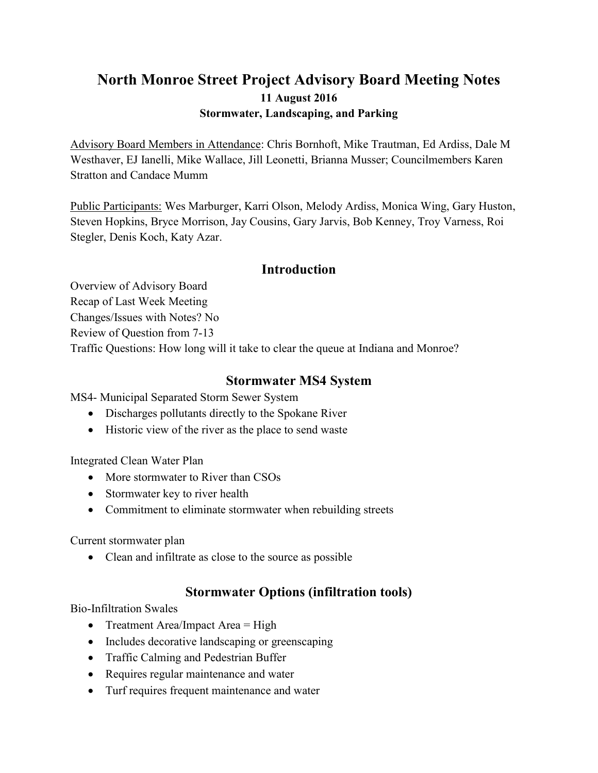# **North Monroe Street Project Advisory Board Meeting Notes 11 August 2016 Stormwater, Landscaping, and Parking**

Advisory Board Members in Attendance: Chris Bornhoft, Mike Trautman, Ed Ardiss, Dale M Westhaver, EJ Ianelli, Mike Wallace, Jill Leonetti, Brianna Musser; Councilmembers Karen Stratton and Candace Mumm

Public Participants: Wes Marburger, Karri Olson, Melody Ardiss, Monica Wing, Gary Huston, Steven Hopkins, Bryce Morrison, Jay Cousins, Gary Jarvis, Bob Kenney, Troy Varness, Roi Stegler, Denis Koch, Katy Azar.

### **Introduction**

Overview of Advisory Board Recap of Last Week Meeting Changes/Issues with Notes? No Review of Question from 7-13 Traffic Questions: How long will it take to clear the queue at Indiana and Monroe?

### **Stormwater MS4 System**

MS4- Municipal Separated Storm Sewer System

- Discharges pollutants directly to the Spokane River
- Historic view of the river as the place to send waste

Integrated Clean Water Plan

- More stormwater to River than CSOs
- Stormwater key to river health
- Commitment to eliminate stormwater when rebuilding streets

Current stormwater plan

• Clean and infiltrate as close to the source as possible

# **Stormwater Options (infiltration tools)**

Bio-Infiltration Swales

- Treatment Area/Impact Area  $=$  High
- Includes decorative landscaping or greenscaping
- Traffic Calming and Pedestrian Buffer
- Requires regular maintenance and water
- Turf requires frequent maintenance and water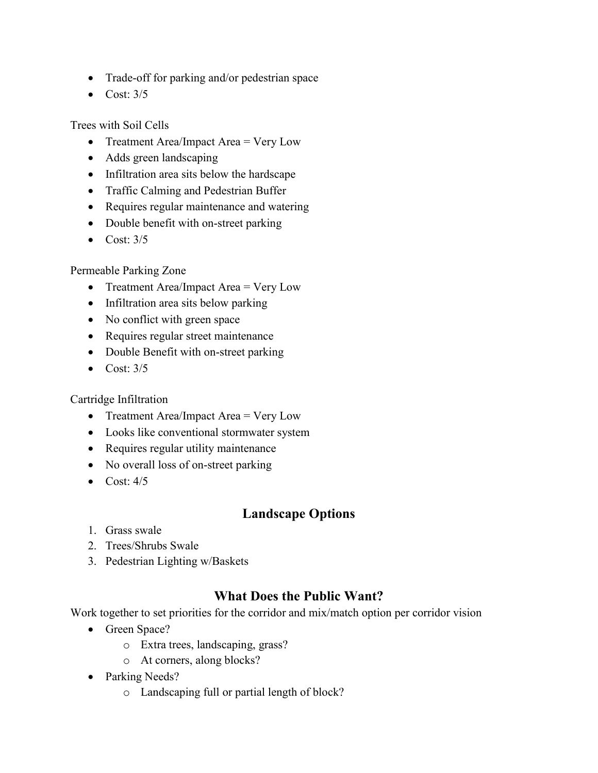- Trade-off for parking and/or pedestrian space
- $\bullet$  Cost:  $3/5$

Trees with Soil Cells

- Treatment Area/Impact Area = Very Low
- Adds green landscaping
- Infiltration area sits below the hardscape
- Traffic Calming and Pedestrian Buffer
- Requires regular maintenance and watering
- Double benefit with on-street parking
- $\bullet$  Cost:  $3/5$

### Permeable Parking Zone

- Treatment Area/Impact Area = Very Low
- Infiltration area sits below parking
- No conflict with green space
- Requires regular street maintenance
- Double Benefit with on-street parking
- $\bullet$  Cost:  $3/5$

#### Cartridge Infiltration

- Treatment Area/Impact Area = Very Low
- Looks like conventional stormwater system
- Requires regular utility maintenance
- No overall loss of on-street parking
- $\bullet$  Cost:  $4/5$

## **Landscape Options**

- 1. Grass swale
- 2. Trees/Shrubs Swale
- 3. Pedestrian Lighting w/Baskets

## **What Does the Public Want?**

Work together to set priorities for the corridor and mix/match option per corridor vision

- Green Space?
	- o Extra trees, landscaping, grass?
	- o At corners, along blocks?
- Parking Needs?
	- o Landscaping full or partial length of block?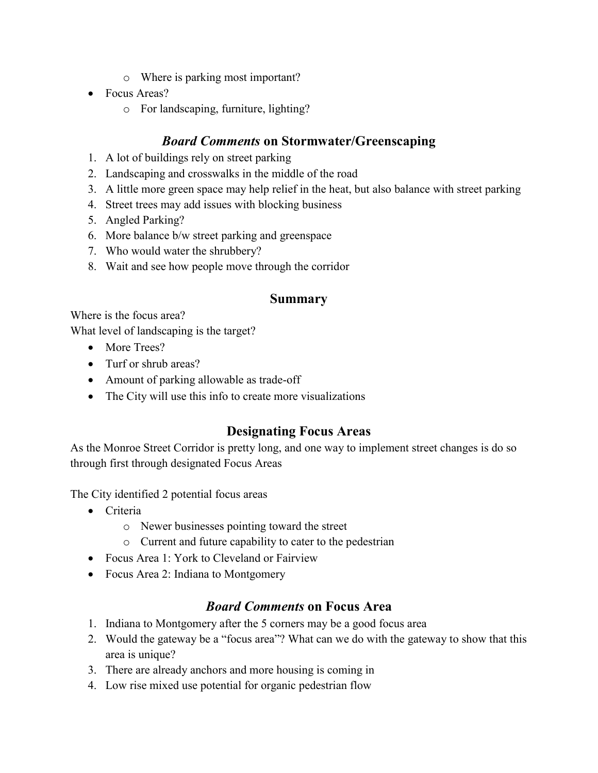- o Where is parking most important?
- Focus Areas?
	- o For landscaping, furniture, lighting?

## *Board Comments* **on Stormwater/Greenscaping**

- 1. A lot of buildings rely on street parking
- 2. Landscaping and crosswalks in the middle of the road
- 3. A little more green space may help relief in the heat, but also balance with street parking
- 4. Street trees may add issues with blocking business
- 5. Angled Parking?
- 6. More balance b/w street parking and greenspace
- 7. Who would water the shrubbery?
- 8. Wait and see how people move through the corridor

#### **Summary**

Where is the focus area?

What level of landscaping is the target?

- More Trees?
- Turf or shrub areas?
- Amount of parking allowable as trade-off
- The City will use this info to create more visualizations

### **Designating Focus Areas**

As the Monroe Street Corridor is pretty long, and one way to implement street changes is do so through first through designated Focus Areas

The City identified 2 potential focus areas

- Criteria
	- o Newer businesses pointing toward the street
	- o Current and future capability to cater to the pedestrian
- Focus Area 1: York to Cleveland or Fairview
- Focus Area 2: Indiana to Montgomery

### *Board Comments* **on Focus Area**

- 1. Indiana to Montgomery after the 5 corners may be a good focus area
- 2. Would the gateway be a "focus area"? What can we do with the gateway to show that this area is unique?
- 3. There are already anchors and more housing is coming in
- 4. Low rise mixed use potential for organic pedestrian flow